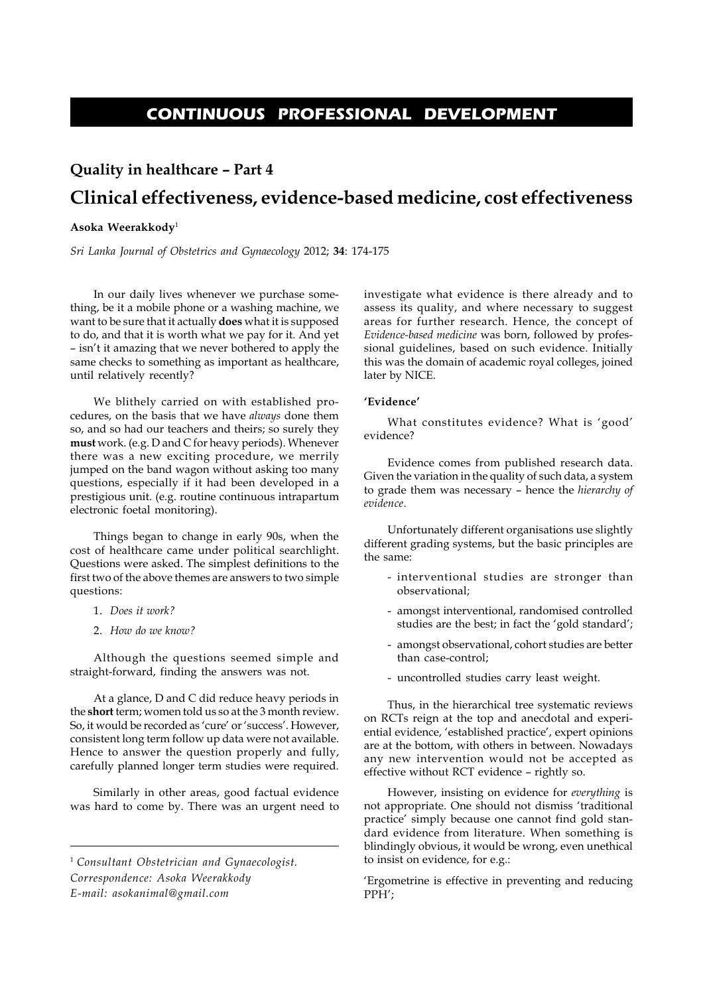# **CONTINUOUS PROFESSIONAL DEVELOPMENT**

# **Quality in healthcare – Part 4 Clinical effectiveness, evidence-based medicine, cost effectiveness**

# **Asoka Weerakkody**<sup>1</sup>

*Sri Lanka Journal of Obstetrics and Gynaecology* 2012; **34**: 174-175

In our daily lives whenever we purchase something, be it a mobile phone or a washing machine, we want to be sure that it actually **does** what it is supposed to do, and that it is worth what we pay for it. And yet – isn't it amazing that we never bothered to apply the same checks to something as important as healthcare, until relatively recently?

We blithely carried on with established procedures, on the basis that we have *always* done them so, and so had our teachers and theirs; so surely they **must** work. (e.g. D and C for heavy periods). Whenever there was a new exciting procedure, we merrily jumped on the band wagon without asking too many questions, especially if it had been developed in a prestigious unit. (e.g. routine continuous intrapartum electronic foetal monitoring).

Things began to change in early 90s, when the cost of healthcare came under political searchlight. Questions were asked. The simplest definitions to the first two of the above themes are answers to two simple questions:

- 1. *Does it work?*
- 2. *How do we know?*

Although the questions seemed simple and straight-forward, finding the answers was not.

At a glance, D and C did reduce heavy periods in the **short** term; women told us so at the 3 month review. So, it would be recorded as 'cure' or 'success'. However, consistent long term follow up data were not available. Hence to answer the question properly and fully, carefully planned longer term studies were required.

Similarly in other areas, good factual evidence was hard to come by. There was an urgent need to

<sup>1</sup> *Consultant Obstetrician and Gynaecologist. Correspondence: Asoka Weerakkody E-mail: asokanimal@gmail.com*

investigate what evidence is there already and to assess its quality, and where necessary to suggest areas for further research. Hence, the concept of *Evidence-based medicine* was born, followed by professional guidelines, based on such evidence. Initially this was the domain of academic royal colleges, joined later by NICE.

#### **'Evidence'**

What constitutes evidence? What is 'good' evidence?

Evidence comes from published research data. Given the variation in the quality of such data, a system to grade them was necessary – hence the *hierarchy of evidence*.

Unfortunately different organisations use slightly different grading systems, but the basic principles are the same:

- interventional studies are stronger than observational;
- amongst interventional, randomised controlled studies are the best; in fact the 'gold standard';
- amongst observational, cohort studies are better than case-control;
- uncontrolled studies carry least weight.

Thus, in the hierarchical tree systematic reviews on RCTs reign at the top and anecdotal and experiential evidence, 'established practice', expert opinions are at the bottom, with others in between. Nowadays any new intervention would not be accepted as effective without RCT evidence – rightly so.

However, insisting on evidence for *everything* is not appropriate. One should not dismiss 'traditional practice' simply because one cannot find gold standard evidence from literature. When something is blindingly obvious, it would be wrong, even unethical to insist on evidence, for e.g.:

'Ergometrine is effective in preventing and reducing PPH';